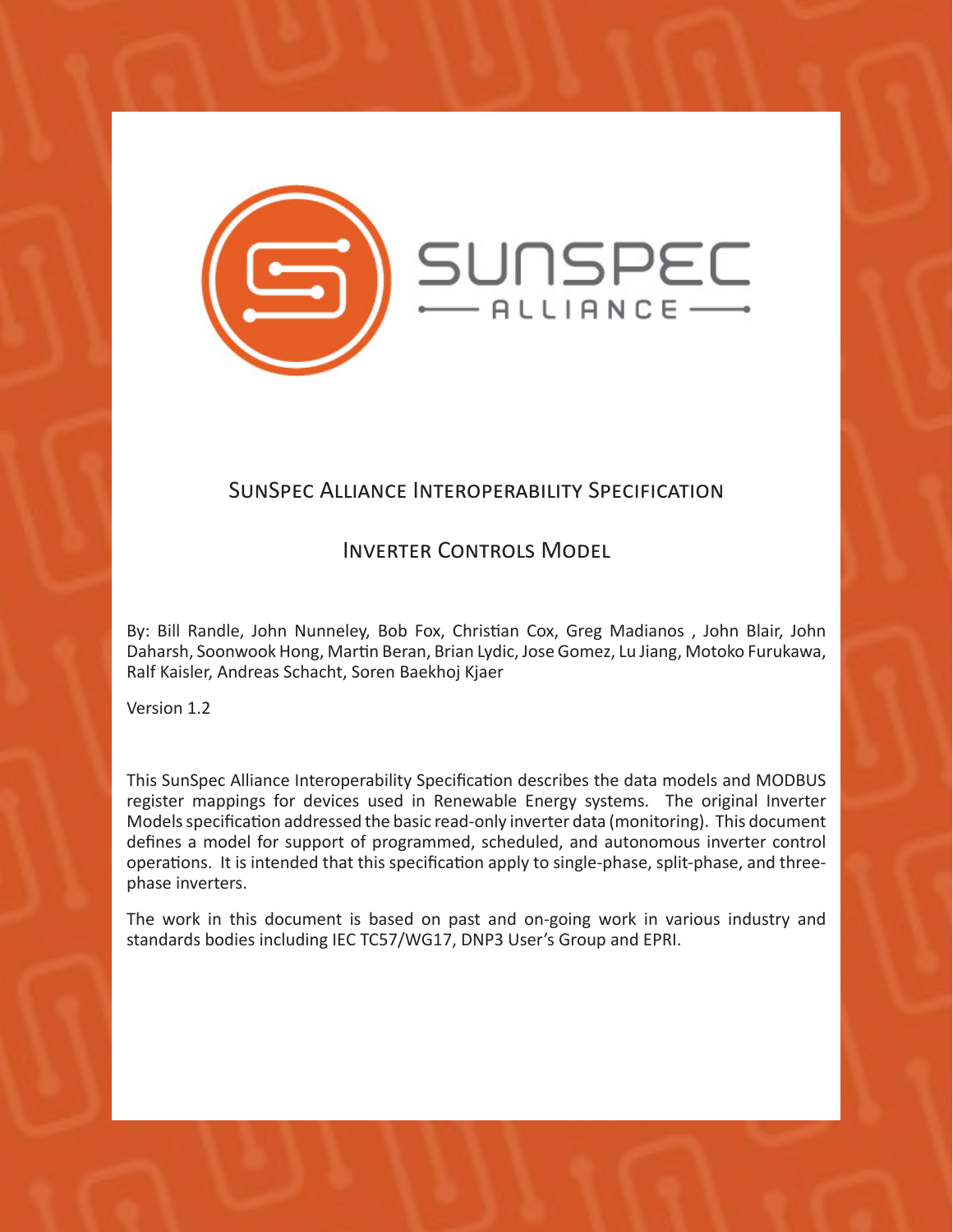

# SunSpec Alliance Interoperability Specification

# Inverter Controls Model

By: Bill Randle, John Nunneley, Bob Fox, Christian Cox, Greg Madianos , John Blair, John Daharsh, Soonwook Hong, Martin Beran, Brian Lydic, Jose Gomez, Lu Jiang, Motoko Furukawa, Ralf Kaisler, Andreas Schacht, Soren Baekhoj Kjaer

Version 1.2

This SunSpec Alliance Interoperability Specification describes the data models and MODBUS register mappings for devices used in Renewable Energy systems. The original Inverter Models specification addressed the basic read-only inverter data (monitoring). This document defines a model for support of programmed, scheduled, and autonomous inverter control operations. It is intended that this specification apply to single-phase, split-phase, and threephase inverters.

The work in this document is based on past and on-going work in various industry and standards bodies including IEC TC57/WG17, DNP3 User's Group and EPRI.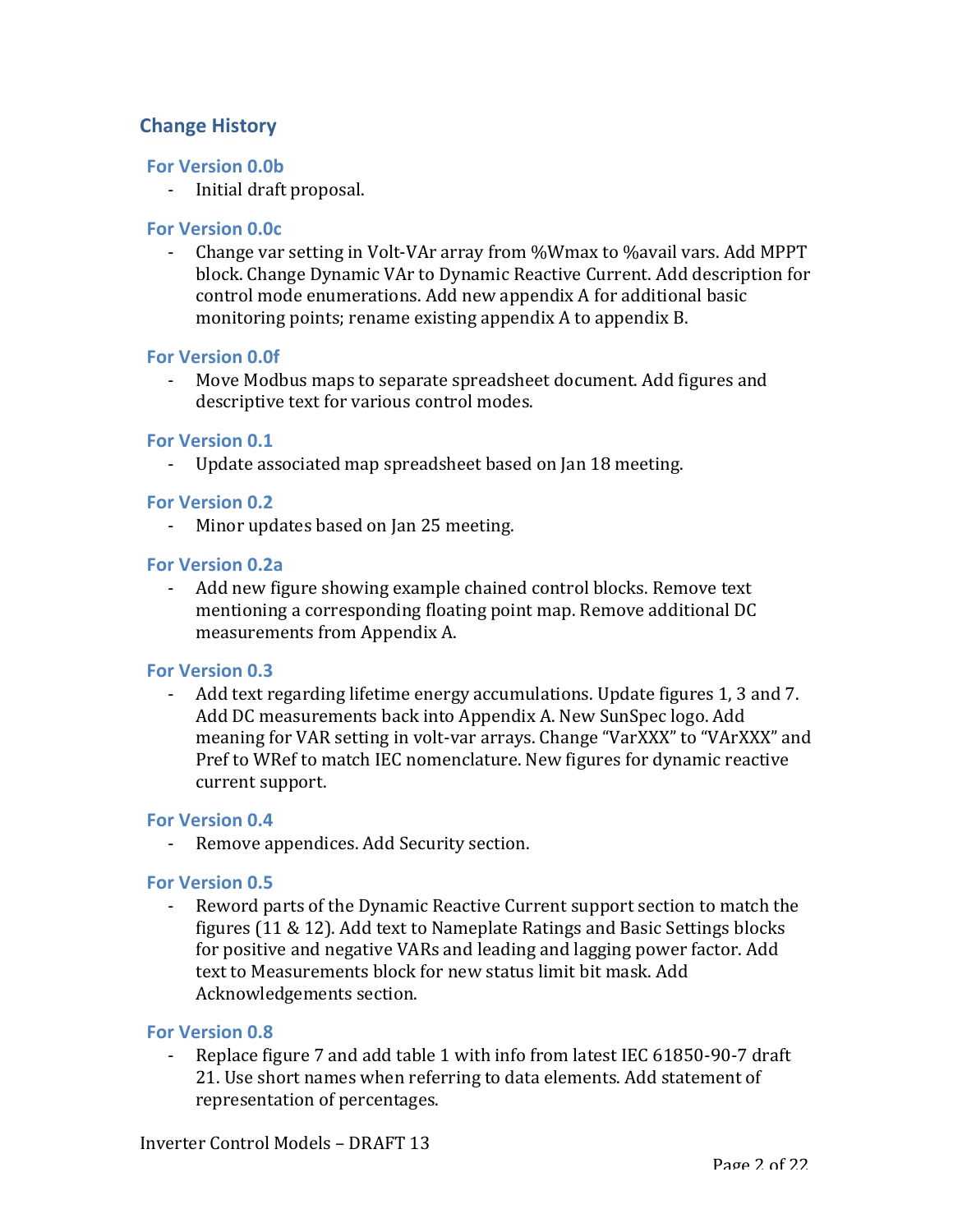# **Change History**

## **For Version 0.0b**

- Initial draft proposal.

## **For Version 0.0c**

- Change var setting in Volt-VAr array from %Wmax to %avail vars. Add MPPT block. Change Dynamic VAr to Dynamic Reactive Current. Add description for control mode enumerations. Add new appendix A for additional basic monitoring points; rename existing appendix A to appendix B.

### **For Version 0.0f**

Move Modbus maps to separate spreadsheet document. Add figures and descriptive text for various control modes.

### **For Version 0.1**

- Update associated map spreadsheet based on Jan 18 meeting.

#### **For Version 0.2**

- Minor updates based on Jan 25 meeting.

#### **For Version 0.2a**

- Add new figure showing example chained control blocks. Remove text mentioning a corresponding floating point map. Remove additional DC measurements from Appendix A.

### **For Version 0.3**

- Add text regarding lifetime energy accumulations. Update figures 1, 3 and 7. Add DC measurements back into Appendix A. New SunSpec logo. Add meaning for VAR setting in volt-var arrays. Change "VarXXX" to "VArXXX" and Pref to WRef to match IEC nomenclature. New figures for dynamic reactive current support.

#### **For Version 0.4**

- Remove appendices. Add Security section.

### **For Version 0.5**

Reword parts of the Dynamic Reactive Current support section to match the figures  $(11 \& 12)$ . Add text to Nameplate Ratings and Basic Settings blocks for positive and negative VARs and leading and lagging power factor. Add text to Measurements block for new status limit bit mask. Add Acknowledgements section.

### **For Version 0.8**

- Replace figure 7 and add table 1 with info from latest IEC 61850-90-7 draft 21. Use short names when referring to data elements. Add statement of representation of percentages.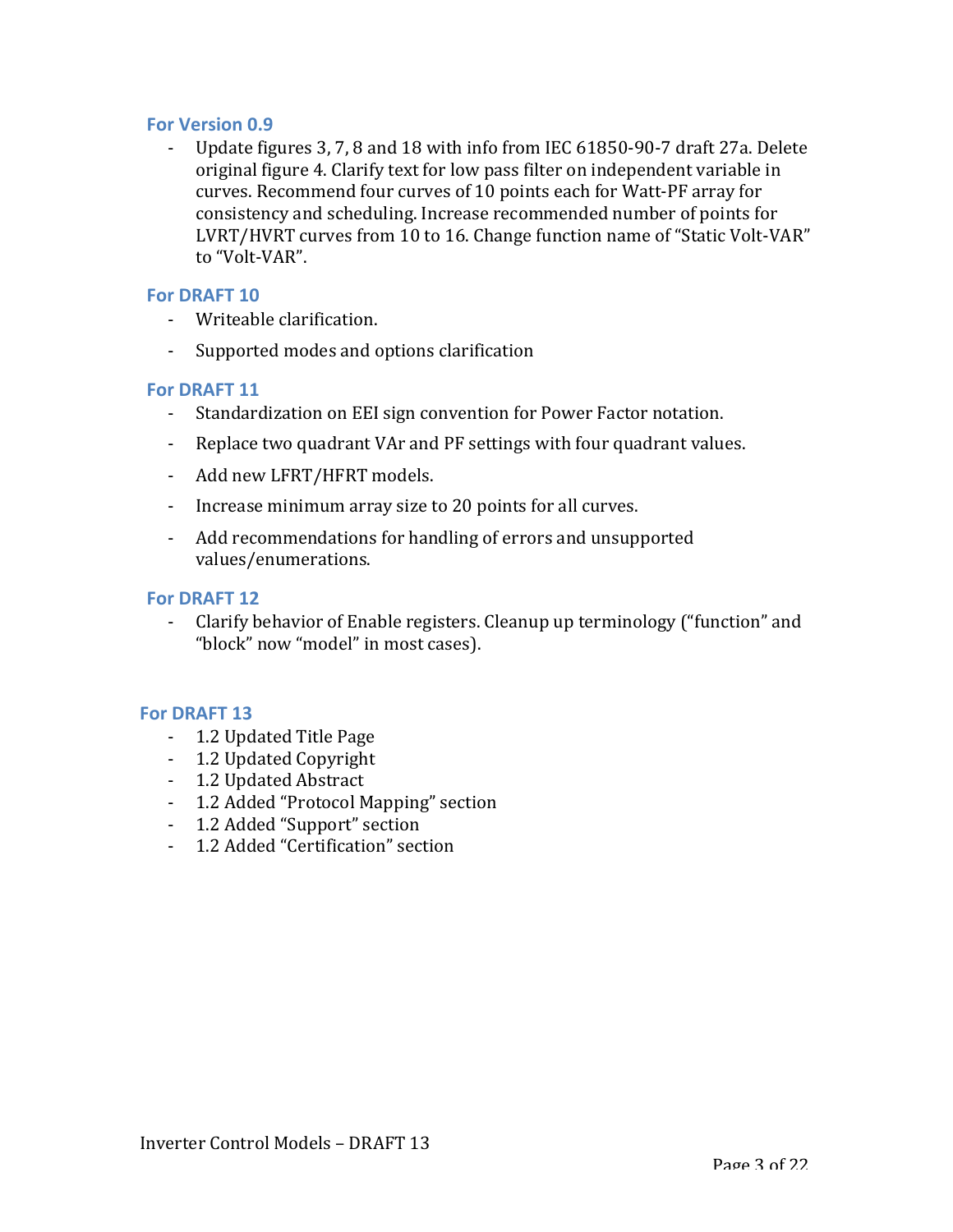#### **For Version 0.9**

Update figures 3, 7, 8 and 18 with info from IEC 61850-90-7 draft 27a. Delete original figure 4. Clarify text for low pass filter on independent variable in curves. Recommend four curves of 10 points each for Watt-PF array for consistency and scheduling. Increase recommended number of points for LVRT/HVRT curves from 10 to 16. Change function name of "Static Volt-VAR" to "Volt-VAR".

#### **For DRAFT 10**

- Writeable clarification.
- Supported modes and options clarification

#### **For DRAFT 11**

- Standardization on EEI sign convention for Power Factor notation.
- Replace two quadrant VAr and PF settings with four quadrant values.
- Add new LFRT/HFRT models.
- Increase minimum array size to 20 points for all curves.
- Add recommendations for handling of errors and unsupported values/enumerations.

#### **For DRAFT 12**

- Clarify behavior of Enable registers. Cleanup up terminology ("function" and "block" now "model" in most cases).

#### **For DRAFT 13**

- 1.2 Updated Title Page
- 1.2 Updated Copyright
- 1.2 Updated Abstract
- 1.2 Added "Protocol Mapping" section
- 1.2 Added "Support" section
- 1.2 Added "Certification" section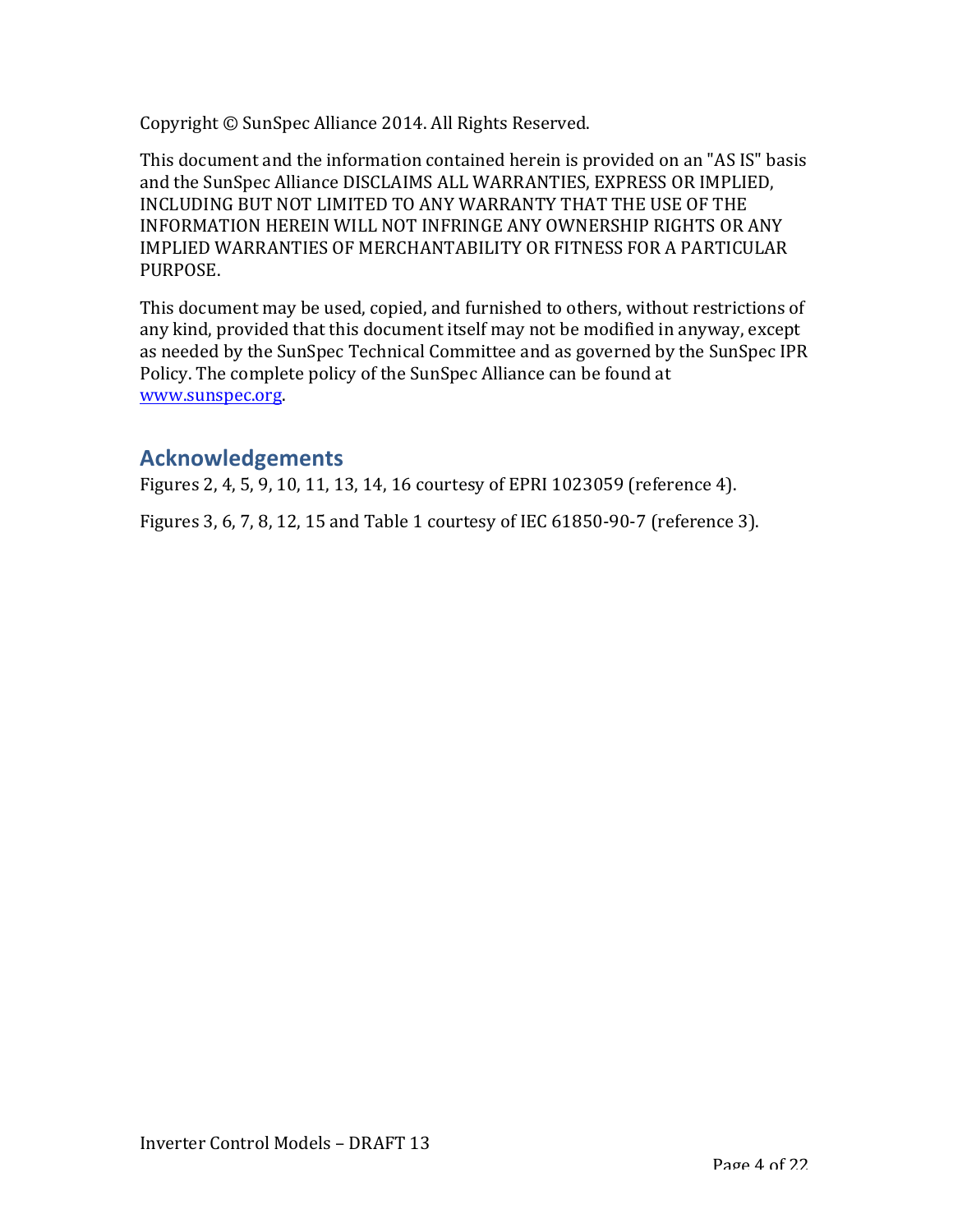Copyright © SunSpec Alliance 2014. All Rights Reserved.

This document and the information contained herein is provided on an "AS IS" basis and the SunSpec Alliance DISCLAIMS ALL WARRANTIES, EXPRESS OR IMPLIED, INCLUDING BUT NOT LIMITED TO ANY WARRANTY THAT THE USE OF THE INFORMATION HEREIN WILL NOT INFRINGE ANY OWNERSHIP RIGHTS OR ANY IMPLIED WARRANTIES OF MERCHANTABILITY OR FITNESS FOR A PARTICULAR PURPOSE.

This document may be used, copied, and furnished to others, without restrictions of any kind, provided that this document itself may not be modified in anyway, except as needed by the SunSpec Technical Committee and as governed by the SunSpec IPR Policy. The complete policy of the SunSpec Alliance can be found at www.sunspec.org.

# **Acknowledgements**

Figures 2, 4, 5, 9, 10, 11, 13, 14, 16 courtesy of EPRI 1023059 (reference 4).

Figures 3, 6, 7, 8, 12, 15 and Table 1 courtesy of IEC 61850-90-7 (reference 3).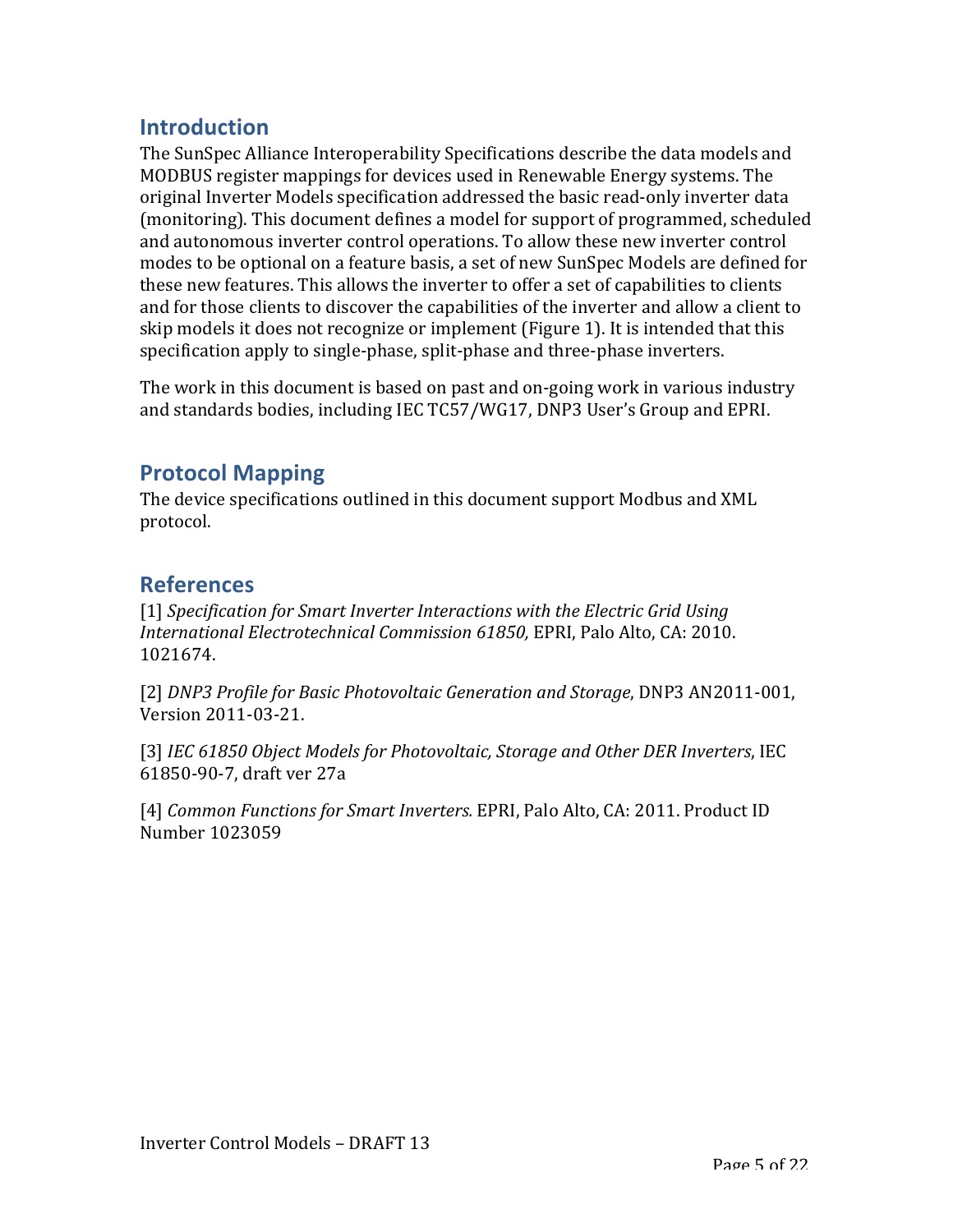# **Introduction**

The SunSpec Alliance Interoperability Specifications describe the data models and MODBUS register mappings for devices used in Renewable Energy systems. The original Inverter Models specification addressed the basic read-only inverter data (monitoring). This document defines a model for support of programmed, scheduled and autonomous inverter control operations. To allow these new inverter control modes to be optional on a feature basis, a set of new SunSpec Models are defined for these new features. This allows the inverter to offer a set of capabilities to clients and for those clients to discover the capabilities of the inverter and allow a client to skip models it does not recognize or implement (Figure 1). It is intended that this specification apply to single-phase, split-phase and three-phase inverters.

The work in this document is based on past and on-going work in various industry and standards bodies, including IEC TC57/WG17, DNP3 User's Group and EPRI.

# **Protocol Mapping**

The device specifications outlined in this document support Modbus and XML protocol.

# **References**

[1] *Specification for Smart Inverter Interactions with the Electric Grid Using International Electrotechnical Commission 61850, EPRI, Palo Alto, CA: 2010.* 1021674.

[2] *DNP3 Profile for Basic Photovoltaic Generation and Storage*, DNP3 AN2011-001, Version 2011-03-21.

[3] *IEC* 61850 Object Models for Photovoltaic, Storage and Other DER Inverters, IEC 61850-90-7, draft ver 27a

[4] *Common Functions for Smart Inverters.* EPRI, Palo Alto, CA: 2011. Product ID Number 1023059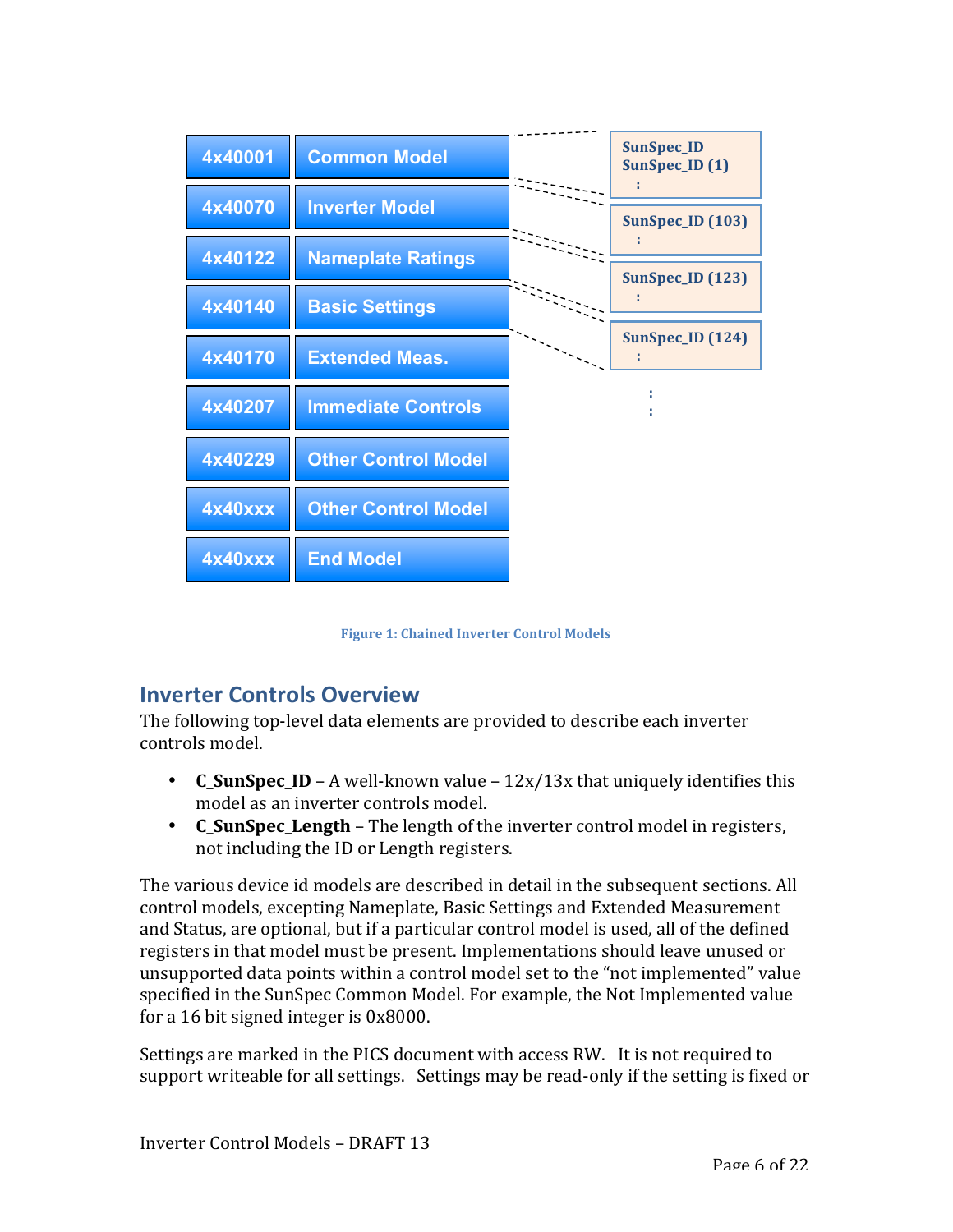

**Figure 1: Chained Inverter Control Models** 

# **Inverter Controls Overview**

The following top-level data elements are provided to describe each inverter controls model.

- **C\_SunSpec\_ID** A well-known value  $12x/13x$  that uniquely identifies this model as an inverter controls model.
- **C** SunSpec Length The length of the inverter control model in registers, not including the ID or Length registers.

The various device id models are described in detail in the subsequent sections. All control models, excepting Nameplate, Basic Settings and Extended Measurement and Status, are optional, but if a particular control model is used, all of the defined registers in that model must be present. Implementations should leave unused or unsupported data points within a control model set to the "not implemented" value specified in the SunSpec Common Model. For example, the Not Implemented value for a 16 bit signed integer is  $0x8000$ .

Settings are marked in the PICS document with access RW. It is not required to support writeable for all settings. Settings may be read-only if the setting is fixed or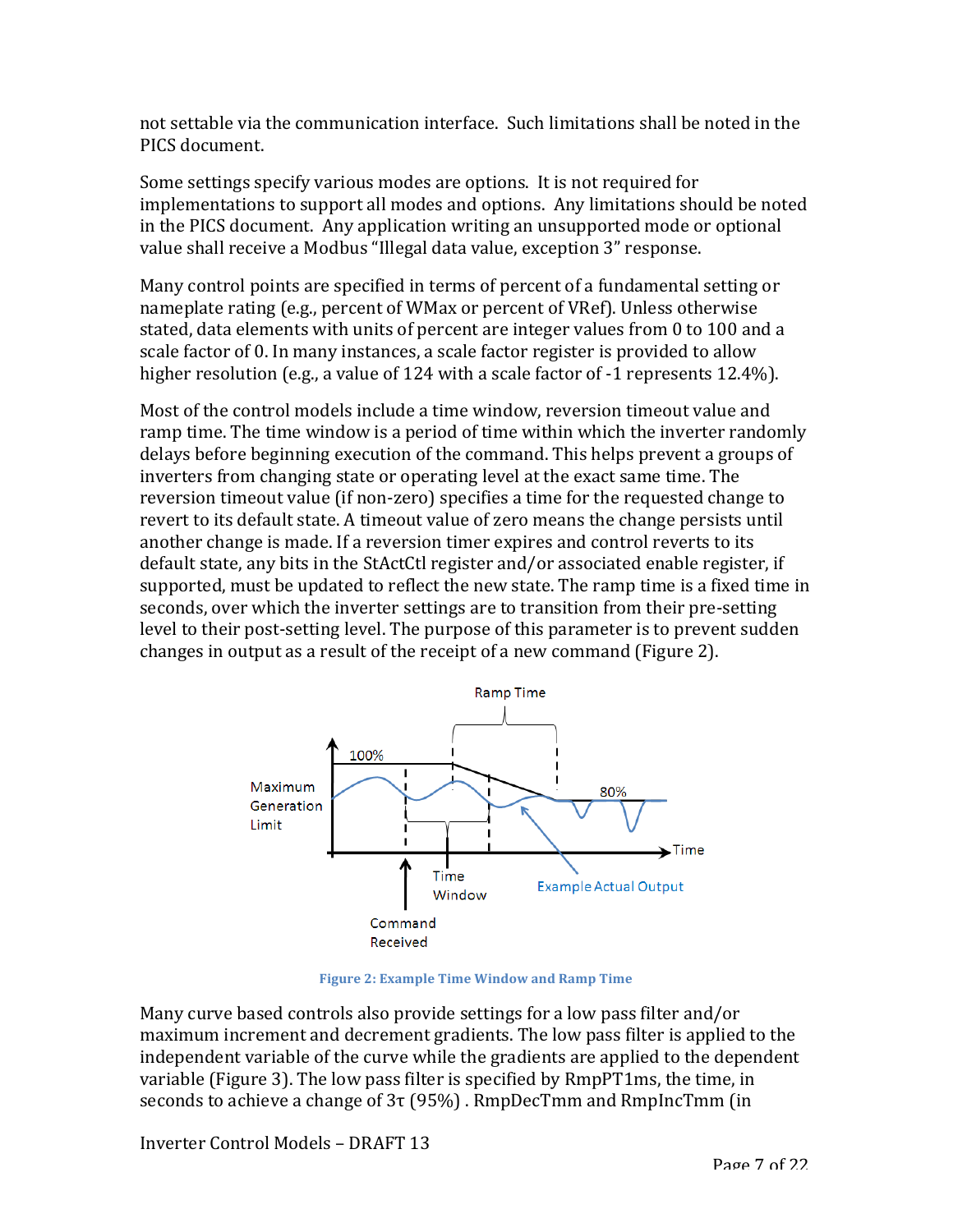not settable via the communication interface. Such limitations shall be noted in the PICS document.

Some settings specify various modes are options. It is not required for implementations to support all modes and options. Any limitations should be noted in the PICS document. Any application writing an unsupported mode or optional value shall receive a Modbus "Illegal data value, exception 3" response.

Many control points are specified in terms of percent of a fundamental setting or nameplate rating (e.g., percent of WMax or percent of VRef). Unless otherwise stated, data elements with units of percent are integer values from 0 to 100 and a scale factor of 0. In many instances, a scale factor register is provided to allow higher resolution (e.g., a value of 124 with a scale factor of  $-1$  represents 12.4%).

Most of the control models include a time window, reversion timeout value and ramp time. The time window is a period of time within which the inverter randomly delays before beginning execution of the command. This helps prevent a groups of inverters from changing state or operating level at the exact same time. The reversion timeout value (if non-zero) specifies a time for the requested change to revert to its default state. A timeout value of zero means the change persists until another change is made. If a reversion timer expires and control reverts to its default state, any bits in the StActCtl register and/or associated enable register, if supported, must be updated to reflect the new state. The ramp time is a fixed time in seconds, over which the inverter settings are to transition from their pre-setting level to their post-setting level. The purpose of this parameter is to prevent sudden changes in output as a result of the receipt of a new command (Figure 2).



**Figure 2: Example Time Window and Ramp Time** 

Many curve based controls also provide settings for a low pass filter and/or maximum increment and decrement gradients. The low pass filter is applied to the independent variable of the curve while the gradients are applied to the dependent variable (Figure 3). The low pass filter is specified by RmpPT1ms, the time, in seconds to achieve a change of  $3\tau$  (95%). RmpDecTmm and RmpIncTmm (in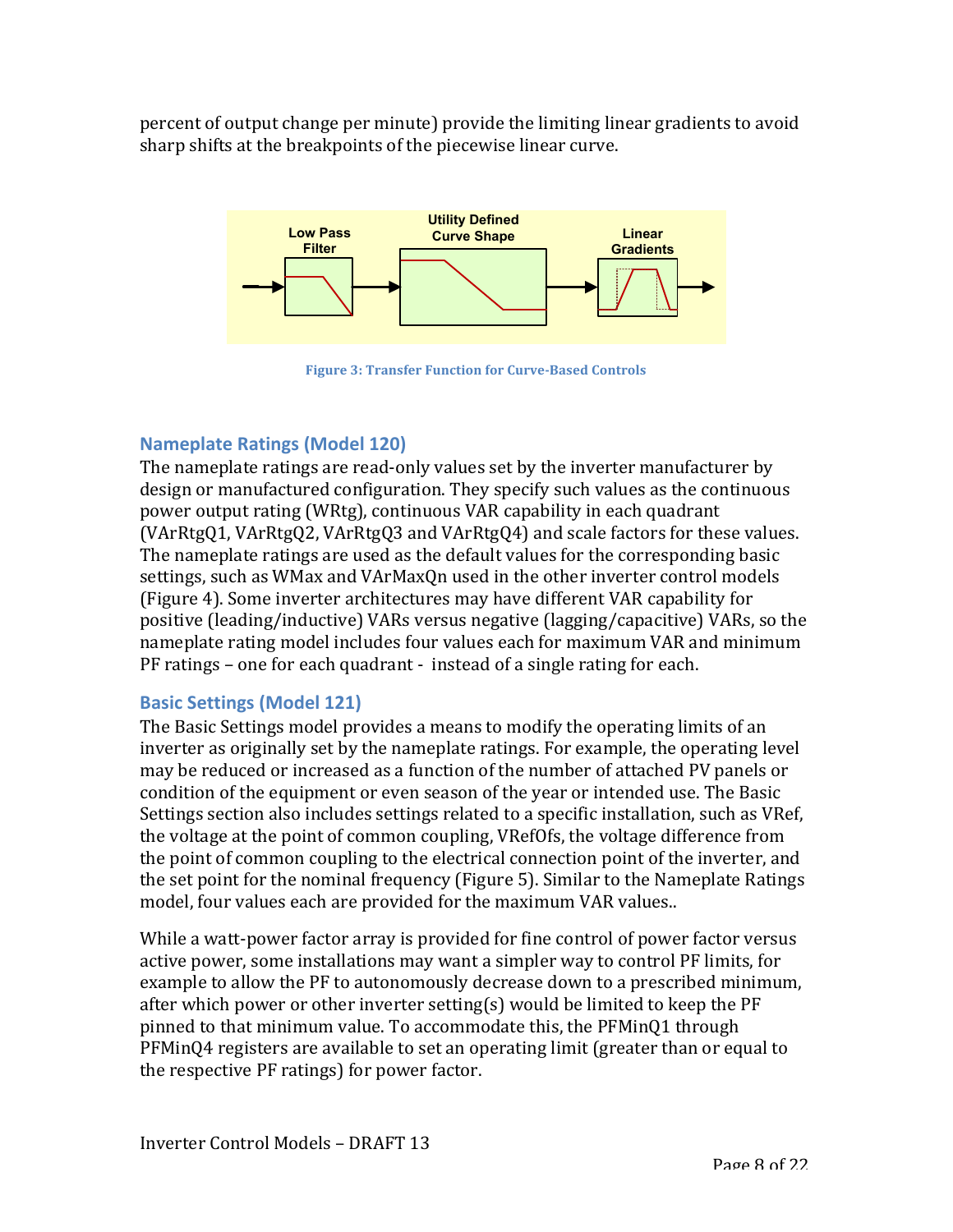percent of output change per minute) provide the limiting linear gradients to avoid sharp shifts at the breakpoints of the piecewise linear curve.



**Figure 3: Transfer Function for Curve-Based Controls** 

# **Nameplate Ratings (Model 120)**

The nameplate ratings are read-only values set by the inverter manufacturer by design or manufactured configuration. They specify such values as the continuous power output rating (WRtg), continuous VAR capability in each quadrant (VArRtgQ1, VArRtgQ2, VArRtgQ3 and VArRtgQ4) and scale factors for these values. The nameplate ratings are used as the default values for the corresponding basic settings, such as WMax and VArMaxQn used in the other inverter control models (Figure 4). Some inverter architectures may have different VAR capability for positive (leading/inductive) VARs versus negative (lagging/capacitive) VARs, so the nameplate rating model includes four values each for maximum VAR and minimum  $PF$  ratings – one for each quadrant - instead of a single rating for each.

# **Basic Settings (Model 121)**

The Basic Settings model provides a means to modify the operating limits of an inverter as originally set by the nameplate ratings. For example, the operating level may be reduced or increased as a function of the number of attached PV panels or condition of the equipment or even season of the year or intended use. The Basic Settings section also includes settings related to a specific installation, such as VRef, the voltage at the point of common coupling, VRefOfs, the voltage difference from the point of common coupling to the electrical connection point of the inverter, and the set point for the nominal frequency (Figure 5). Similar to the Nameplate Ratings model, four values each are provided for the maximum VAR values..

While a watt-power factor array is provided for fine control of power factor versus active power, some installations may want a simpler way to control PF limits, for example to allow the PF to autonomously decrease down to a prescribed minimum, after which power or other inverter setting(s) would be limited to keep the  $PF$ pinned to that minimum value. To accommodate this, the PFMinQ1 through  $PFMinQ4$  registers are available to set an operating limit (greater than or equal to the respective PF ratings) for power factor.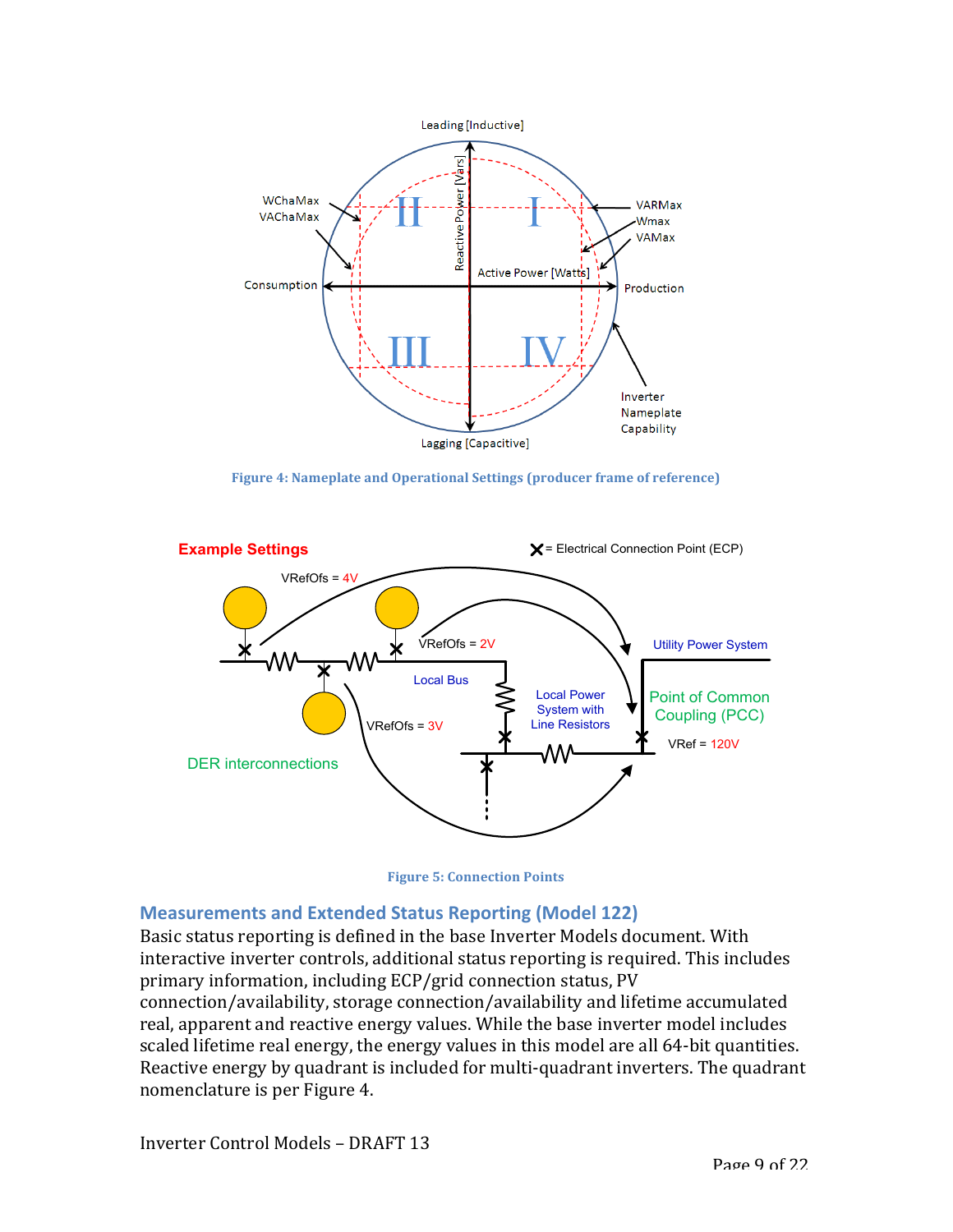

**Figure 4: Nameplate and Operational Settings (producer frame of reference)** 





#### **Measurements and Extended Status Reporting (Model 122)**

Basic status reporting is defined in the base Inverter Models document. With interactive inverter controls, additional status reporting is required. This includes primary information, including ECP/grid connection status, PV connection/availability, storage connection/availability and lifetime accumulated real, apparent and reactive energy values. While the base inverter model includes scaled lifetime real energy, the energy values in this model are all 64-bit quantities. Reactive energy by quadrant is included for multi-quadrant inverters. The quadrant nomenclature is per Figure 4.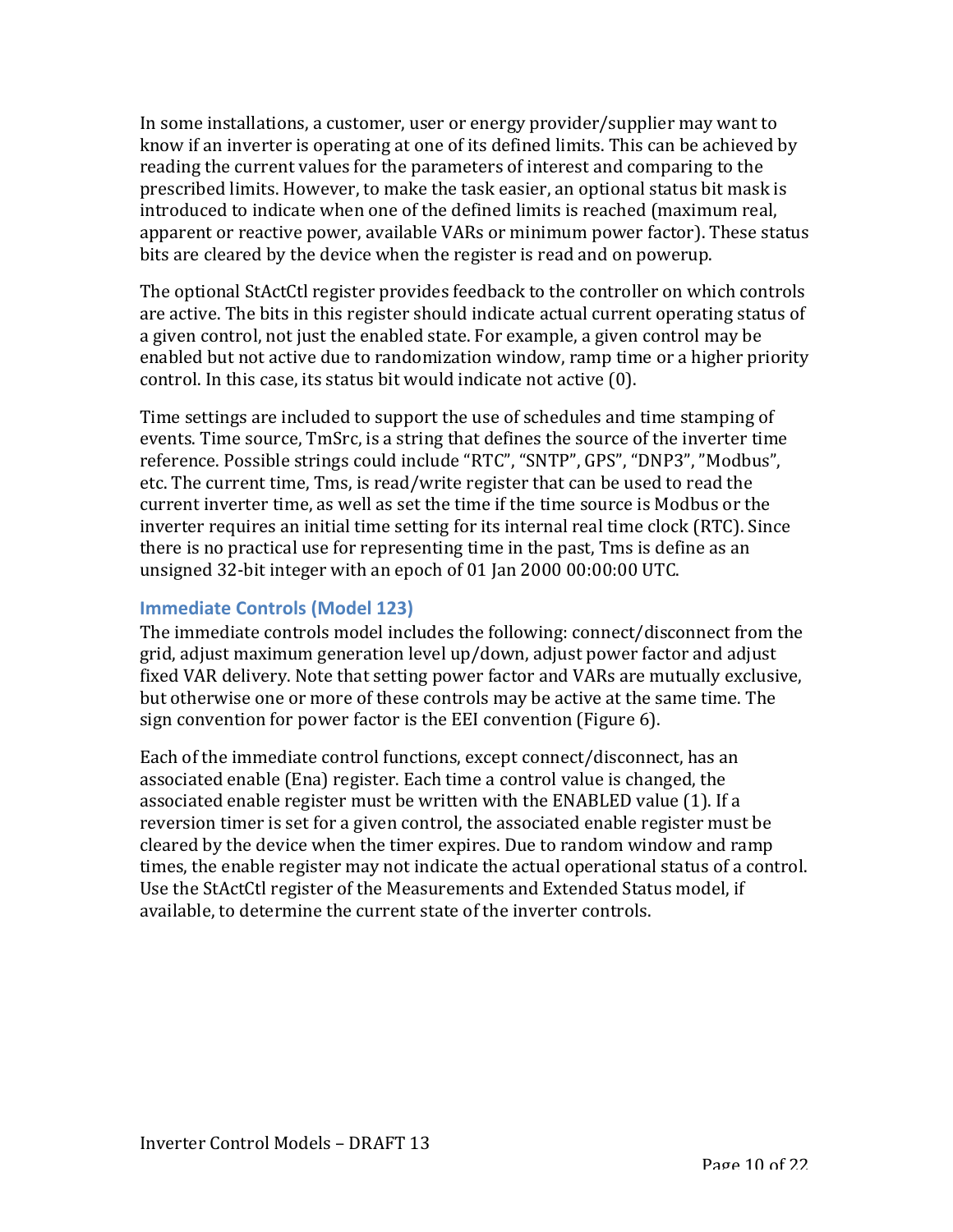In some installations, a customer, user or energy provider/supplier may want to know if an inverter is operating at one of its defined limits. This can be achieved by reading the current values for the parameters of interest and comparing to the prescribed limits. However, to make the task easier, an optional status bit mask is introduced to indicate when one of the defined limits is reached (maximum real, apparent or reactive power, available VARs or minimum power factor). These status bits are cleared by the device when the register is read and on powerup.

The optional StActCtl register provides feedback to the controller on which controls are active. The bits in this register should indicate actual current operating status of a given control, not just the enabled state. For example, a given control may be enabled but not active due to randomization window, ramp time or a higher priority control. In this case, its status bit would indicate not active (0).

Time settings are included to support the use of schedules and time stamping of events. Time source, TmSrc, is a string that defines the source of the inverter time reference. Possible strings could include "RTC", "SNTP", GPS", "DNP3", "Modbus", etc. The current time, Tms, is read/write register that can be used to read the current inverter time, as well as set the time if the time source is Modbus or the inverter requires an initial time setting for its internal real time clock (RTC). Since there is no practical use for representing time in the past, Tms is define as an unsigned  $32$ -bit integer with an epoch of 01 Jan  $2000 00:00:00 0$  UTC.

## **Immediate Controls (Model 123)**

The immediate controls model includes the following: connect/disconnect from the grid, adjust maximum generation level  $up/down$ , adjust power factor and adjust fixed VAR delivery. Note that setting power factor and VARs are mutually exclusive, but otherwise one or more of these controls may be active at the same time. The sign convention for power factor is the EEI convention (Figure 6).

Each of the immediate control functions, except connect/disconnect, has an associated enable (Ena) register. Each time a control value is changed, the associated enable register must be written with the ENABLED value (1). If a reversion timer is set for a given control, the associated enable register must be cleared by the device when the timer expires. Due to random window and ramp times, the enable register may not indicate the actual operational status of a control. Use the StActCtl register of the Measurements and Extended Status model, if available, to determine the current state of the inverter controls.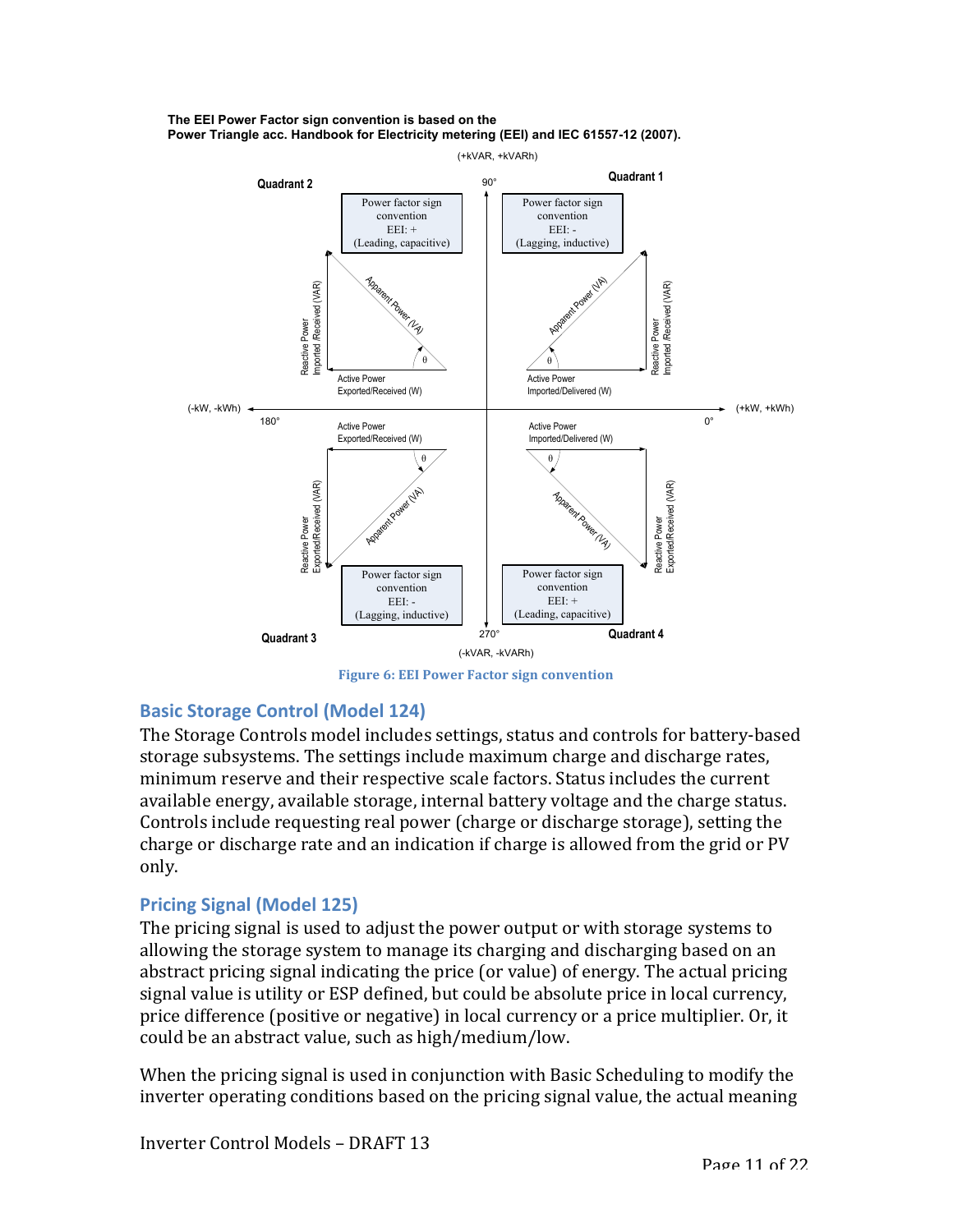



**Figure 6: EEI Power Factor sign convention** 

### **Basic Storage Control (Model 124)**

The Storage Controls model includes settings, status and controls for battery-based storage subsystems. The settings include maximum charge and discharge rates, minimum reserve and their respective scale factors. Status includes the current available energy, available storage, internal battery voltage and the charge status. Controls include requesting real power (charge or discharge storage), setting the charge or discharge rate and an indication if charge is allowed from the grid or PV only.

### **Pricing Signal (Model 125)**

The pricing signal is used to adjust the power output or with storage systems to allowing the storage system to manage its charging and discharging based on an abstract pricing signal indicating the price (or value) of energy. The actual pricing signal value is utility or ESP defined, but could be absolute price in local currency, price difference (positive or negative) in local currency or a price multiplier. Or, it could be an abstract value, such as high/medium/low.

When the pricing signal is used in conjunction with Basic Scheduling to modify the inverter operating conditions based on the pricing signal value, the actual meaning

Inverter Control Models – DRAFT 13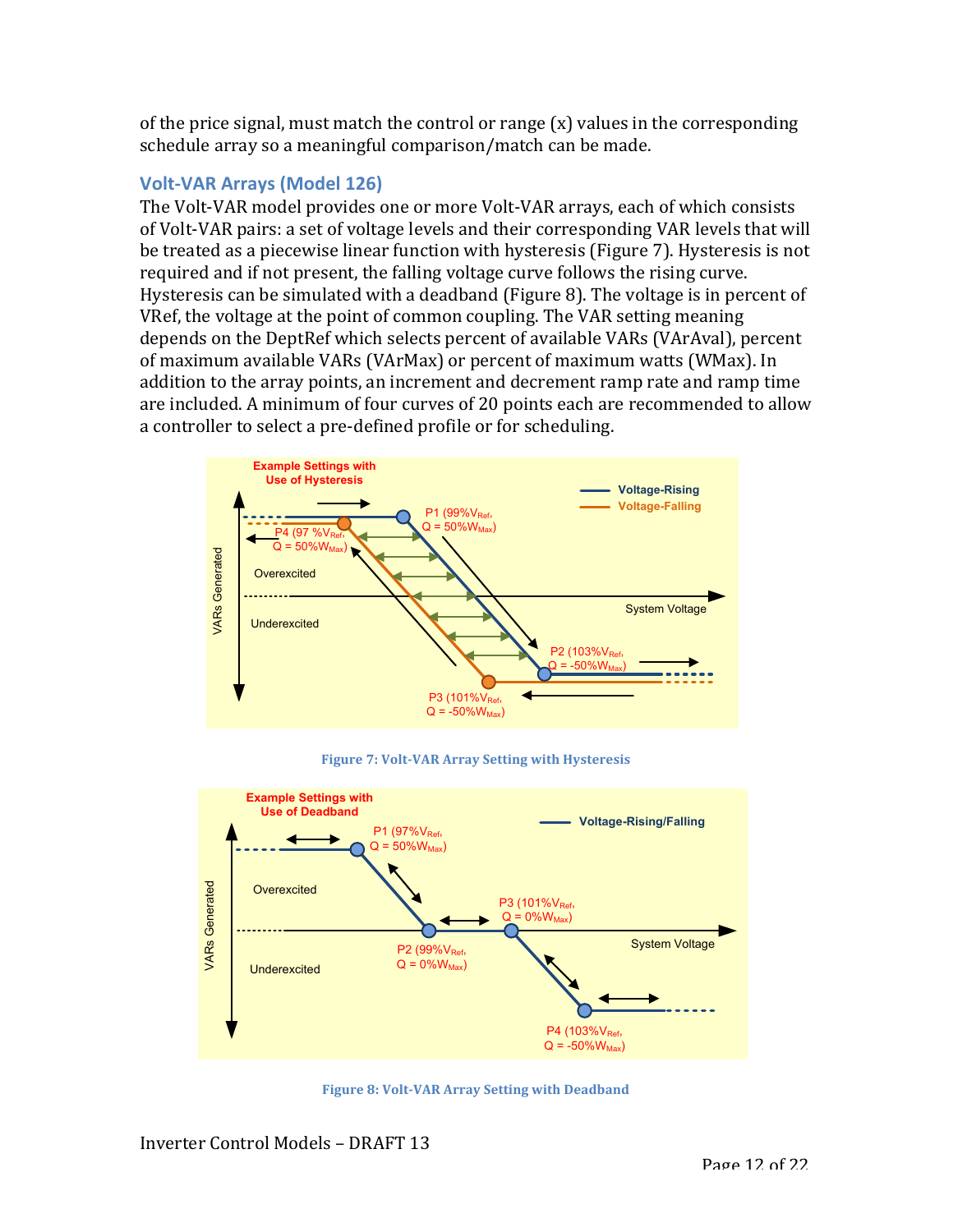of the price signal, must match the control or range  $(x)$  values in the corresponding schedule array so a meaningful comparison/match can be made.

## **Volt-VAR Arrays (Model 126)**

The Volt-VAR model provides one or more Volt-VAR arrays, each of which consists of Volt-VAR pairs: a set of voltage levels and their corresponding VAR levels that will be treated as a piecewise linear function with hysteresis (Figure 7). Hysteresis is not required and if not present, the falling voltage curve follows the rising curve. Hysteresis can be simulated with a deadband (Figure 8). The voltage is in percent of VRef, the voltage at the point of common coupling. The VAR setting meaning depends on the DeptRef which selects percent of available VARs (VArAval), percent of maximum available VARs (VArMax) or percent of maximum watts (WMax). In addition to the array points, an increment and decrement ramp rate and ramp time are included. A minimum of four curves of 20 points each are recommended to allow a controller to select a pre-defined profile or for scheduling.



**Figure 7: Volt-VAR Array Setting with Hysteresis** 



**Figure 8: Volt-VAR Array Setting with Deadband**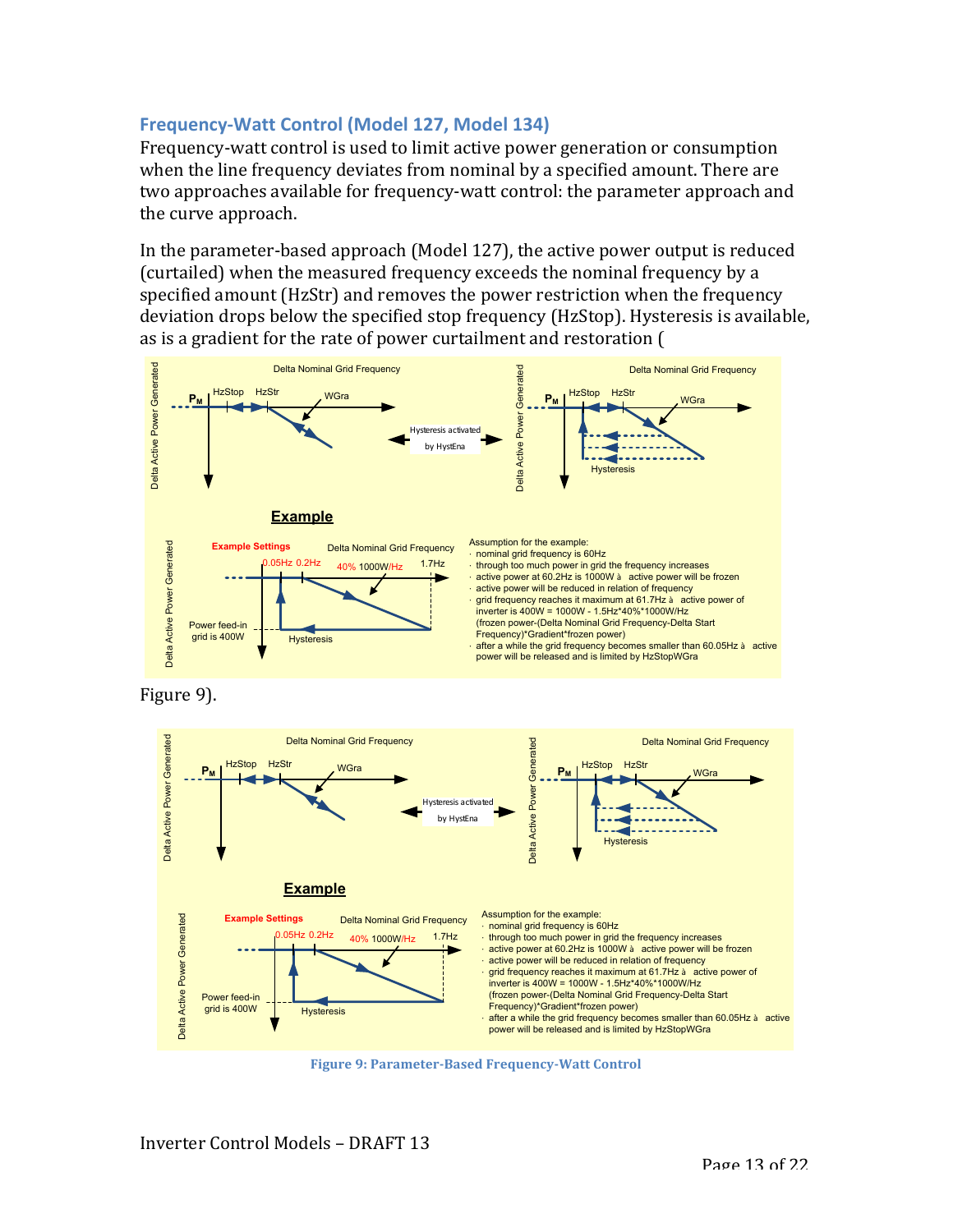## **Frequency-Watt Control (Model 127, Model 134)**

Frequency-watt control is used to limit active power generation or consumption when the line frequency deviates from nominal by a specified amount. There are two approaches available for frequency-watt control: the parameter approach and the curve approach.

In the parameter-based approach (Model 127), the active power output is reduced (curtailed) when the measured frequency exceeds the nominal frequency by a specified amount (HzStr) and removes the power restriction when the frequency deviation drops below the specified stop frequency (HzStop). Hysteresis is available, as is a gradient for the rate of power curtailment and restoration (







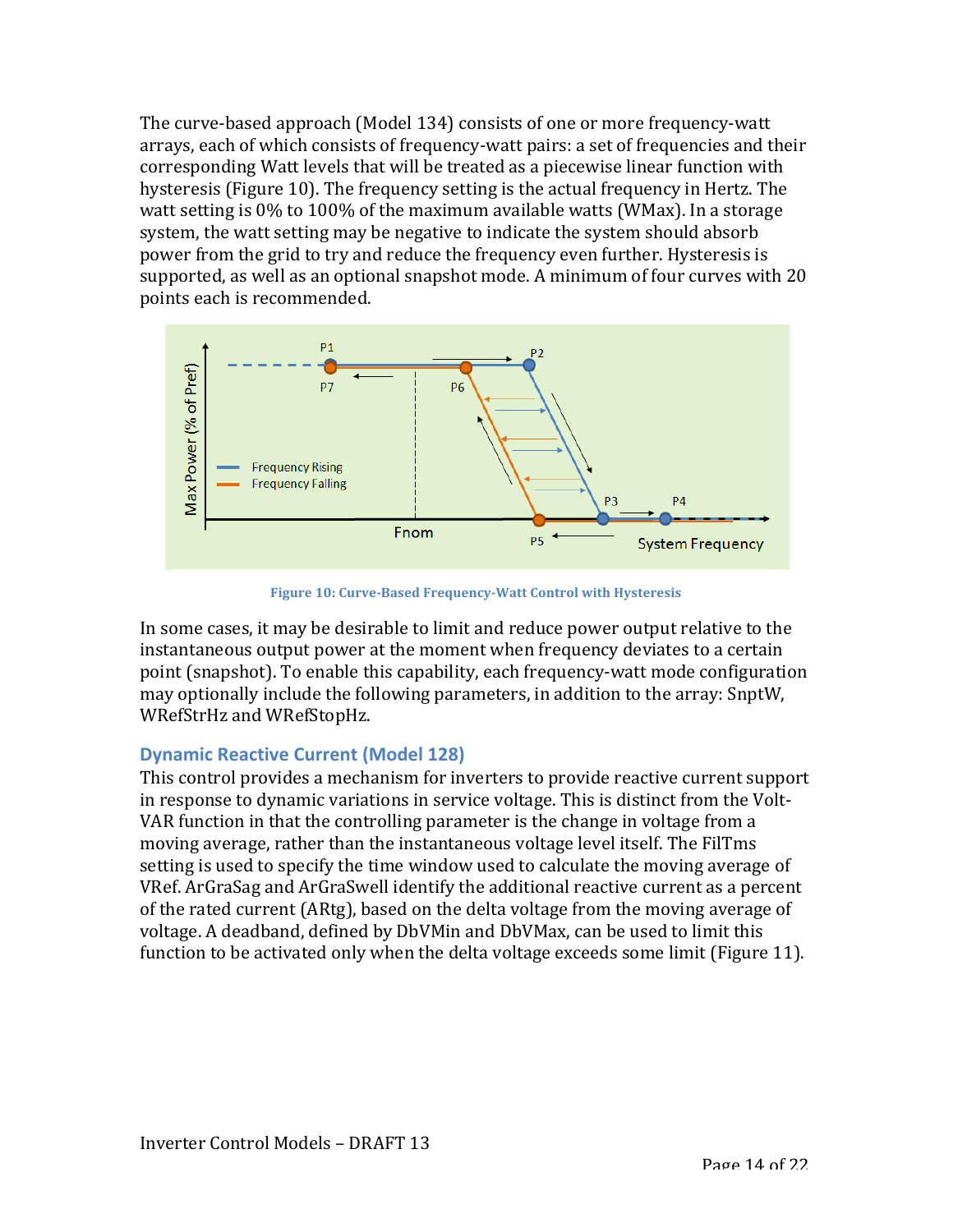The curve-based approach (Model 134) consists of one or more frequency-watt arrays, each of which consists of frequency-watt pairs: a set of frequencies and their corresponding Watt levels that will be treated as a piecewise linear function with hysteresis (Figure 10). The frequency setting is the actual frequency in Hertz. The watt setting is  $0\%$  to 100% of the maximum available watts (WMax). In a storage system, the watt setting may be negative to indicate the system should absorb power from the grid to try and reduce the frequency even further. Hysteresis is supported, as well as an optional snapshot mode. A minimum of four curves with 20 points each is recommended.



**Figure 10: Curve-Based Frequency-Watt Control with Hysteresis** 

In some cases, it may be desirable to limit and reduce power output relative to the instantaneous output power at the moment when frequency deviates to a certain point (snapshot). To enable this capability, each frequency-watt mode configuration may optionally include the following parameters, in addition to the array: SnptW, WRefStrHz and WRefStopHz.

# **Dynamic Reactive Current (Model 128)**

This control provides a mechanism for inverters to provide reactive current support in response to dynamic variations in service voltage. This is distinct from the Volt-VAR function in that the controlling parameter is the change in voltage from a moving average, rather than the instantaneous voltage level itself. The FilTms setting is used to specify the time window used to calculate the moving average of VRef. ArGraSag and ArGraSwell identify the additional reactive current as a percent of the rated current (ARtg), based on the delta voltage from the moving average of voltage. A deadband, defined by DbVMin and DbVMax, can be used to limit this function to be activated only when the delta voltage exceeds some limit (Figure 11).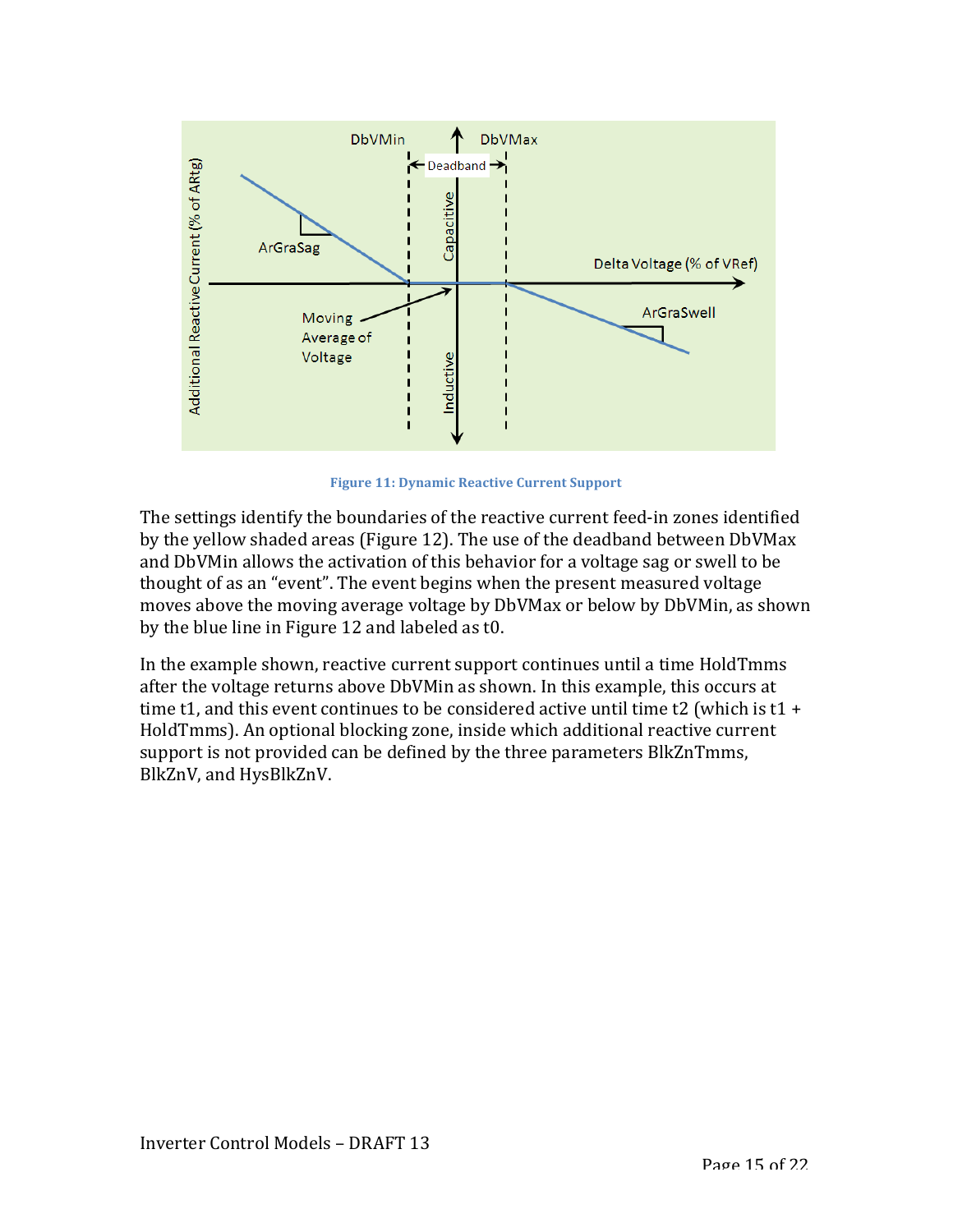

**Figure 11: Dynamic Reactive Current Support** 

The settings identify the boundaries of the reactive current feed-in zones identified by the yellow shaded areas (Figure 12). The use of the deadband between DbVMax and DbVMin allows the activation of this behavior for a voltage sag or swell to be thought of as an "event". The event begins when the present measured voltage moves above the moving average voltage by DbVMax or below by DbVMin, as shown by the blue line in Figure 12 and labeled as  $t0$ .

In the example shown, reactive current support continues until a time HoldTmms after the voltage returns above DbVMin as shown. In this example, this occurs at time t1, and this event continues to be considered active until time t2 (which is t1 + HoldTmms). An optional blocking zone, inside which additional reactive current support is not provided can be defined by the three parameters BlkZnTmms, BlkZnV, and HysBlkZnV.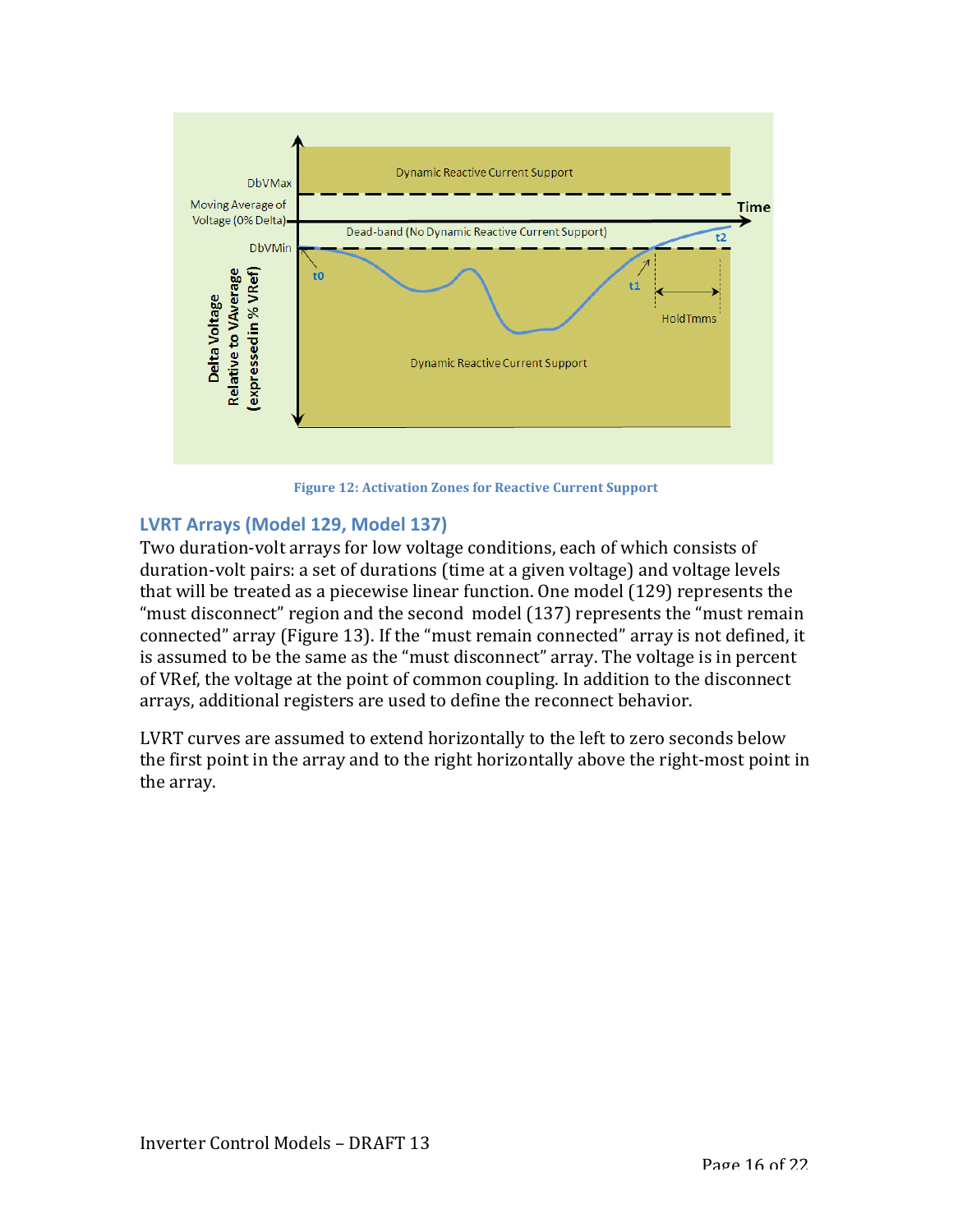

**Figure 12: Activation Zones for Reactive Current Support** 

## **LVRT Arrays (Model 129, Model 137)**

Two duration-volt arrays for low voltage conditions, each of which consists of duration-volt pairs: a set of durations (time at a given voltage) and voltage levels that will be treated as a piecewise linear function. One model (129) represents the "must disconnect" region and the second model  $(137)$  represents the "must remain connected" array (Figure 13). If the "must remain connected" array is not defined, it is assumed to be the same as the "must disconnect" array. The voltage is in percent of VRef, the voltage at the point of common coupling. In addition to the disconnect arrays, additional registers are used to define the reconnect behavior.

LVRT curves are assumed to extend horizontally to the left to zero seconds below the first point in the array and to the right horizontally above the right-most point in the array.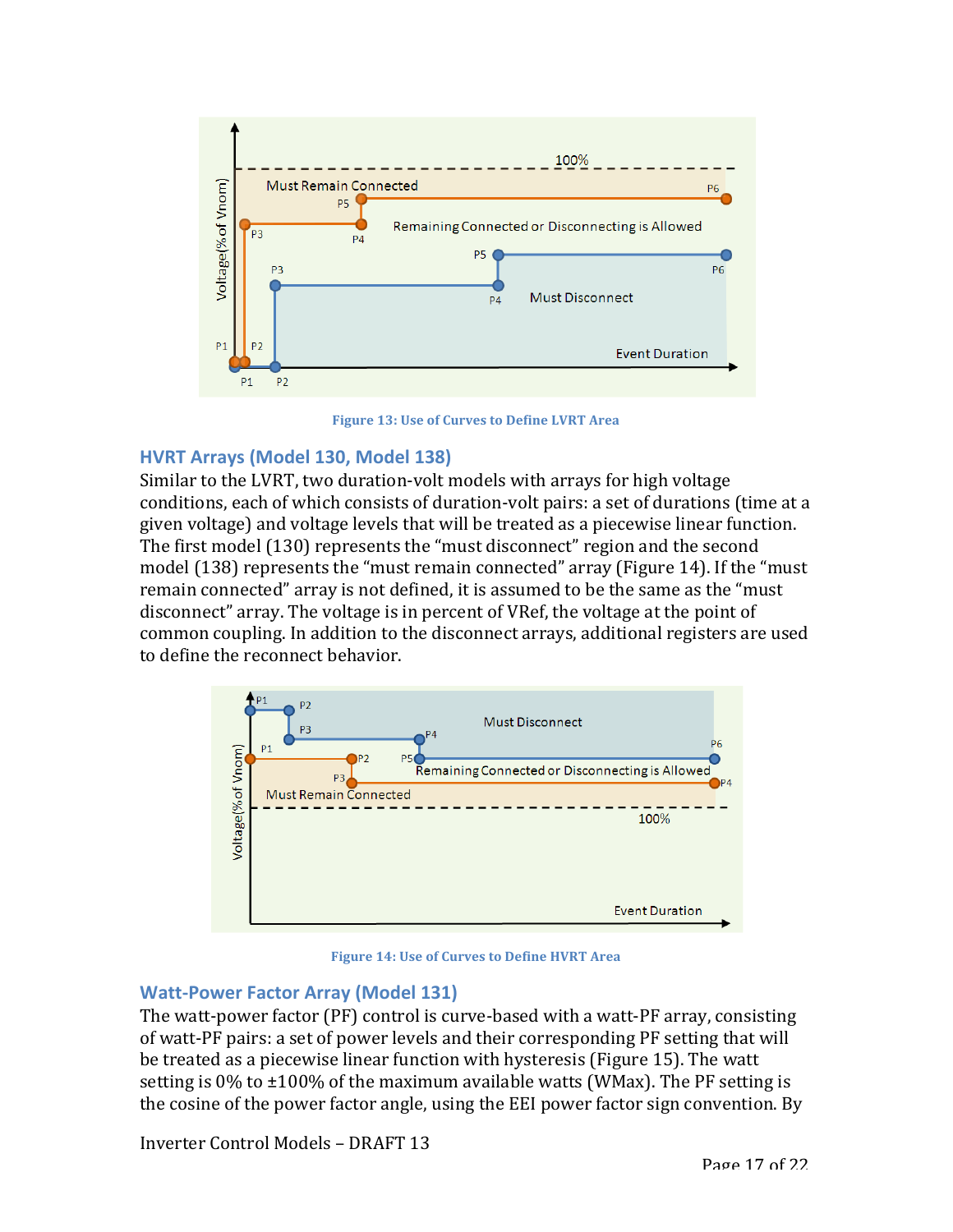

**Figure 13: Use of Curves to Define LVRT Area** 

### **HVRT Arrays (Model 130, Model 138)**

Similar to the LVRT, two duration-volt models with arrays for high voltage conditions, each of which consists of duration-volt pairs: a set of durations (time at a given voltage) and voltage levels that will be treated as a piecewise linear function. The first model (130) represents the "must disconnect" region and the second model  $(138)$  represents the "must remain connected" array (Figure 14). If the "must remain connected" array is not defined, it is assumed to be the same as the "must disconnect" array. The voltage is in percent of VRef, the voltage at the point of common coupling. In addition to the disconnect arrays, additional registers are used to define the reconnect behavior.



**Figure 14: Use of Curves to Define HVRT Area** 

### **Watt-Power Factor Array (Model 131)**

The watt-power factor (PF) control is curve-based with a watt-PF array, consisting of watt-PF pairs: a set of power levels and their corresponding PF setting that will be treated as a piecewise linear function with hysteresis (Figure 15). The watt setting is  $0\%$  to  $\pm 100\%$  of the maximum available watts (WMax). The PF setting is the cosine of the power factor angle, using the EEI power factor sign convention. By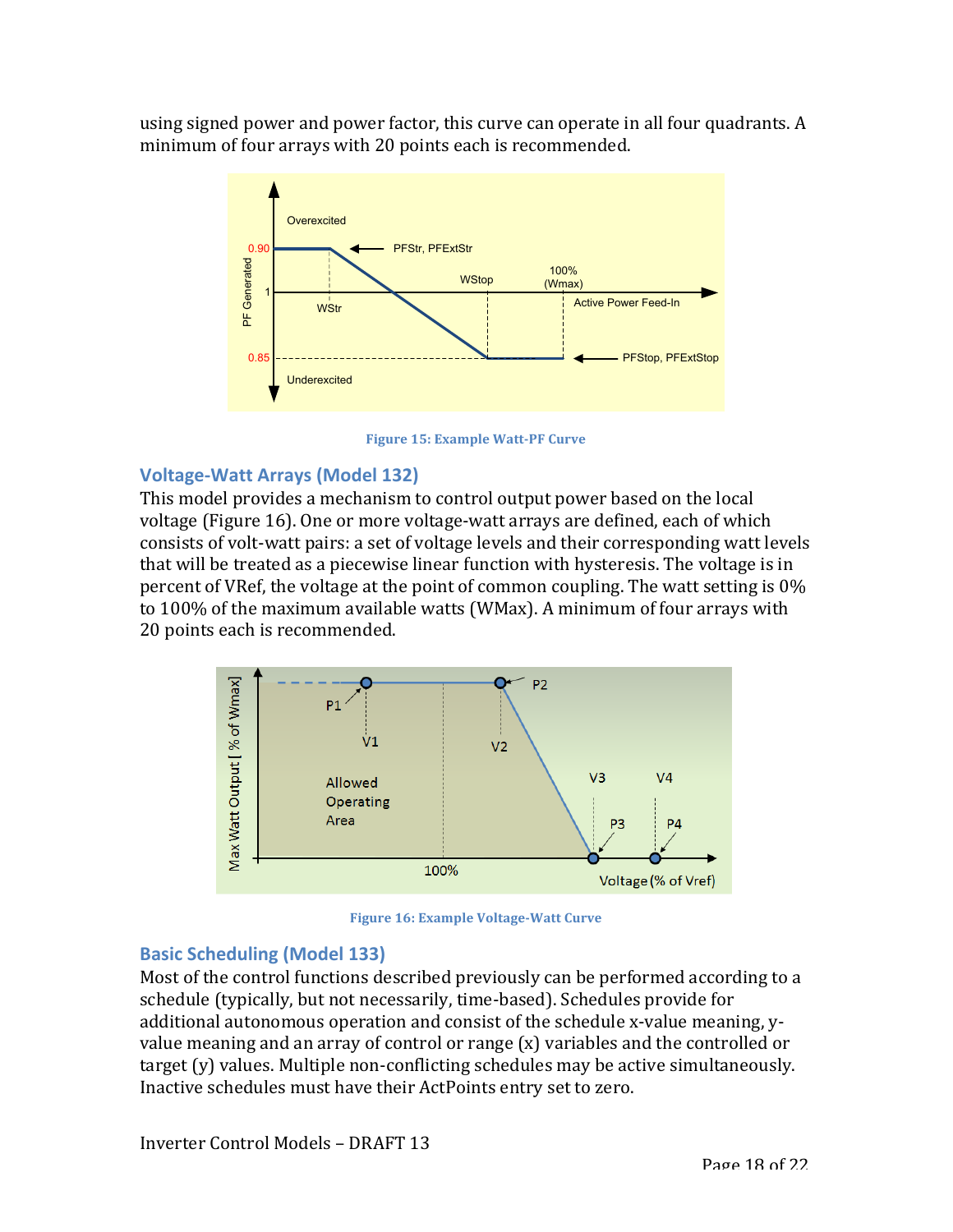using signed power and power factor, this curve can operate in all four quadrants. A minimum of four arrays with 20 points each is recommended.



**Figure 15: Example Watt-PF Curve** 

# **Voltage-Watt Arrays (Model 132)**

This model provides a mechanism to control output power based on the local voltage (Figure 16). One or more voltage-watt arrays are defined, each of which consists of volt-watt pairs: a set of voltage levels and their corresponding watt levels that will be treated as a piecewise linear function with hysteresis. The voltage is in percent of VRef, the voltage at the point of common coupling. The watt setting is  $0\%$ to 100% of the maximum available watts (WMax). A minimum of four arrays with 20 points each is recommended.



**Figure 16: Example Voltage-Watt Curve** 

### **Basic Scheduling (Model 133)**

Most of the control functions described previously can be performed according to a schedule (typically, but not necessarily, time-based). Schedules provide for additional autonomous operation and consist of the schedule x-value meaning, yvalue meaning and an array of control or range  $(x)$  variables and the controlled or target  $(v)$  values. Multiple non-conflicting schedules may be active simultaneously. Inactive schedules must have their ActPoints entry set to zero.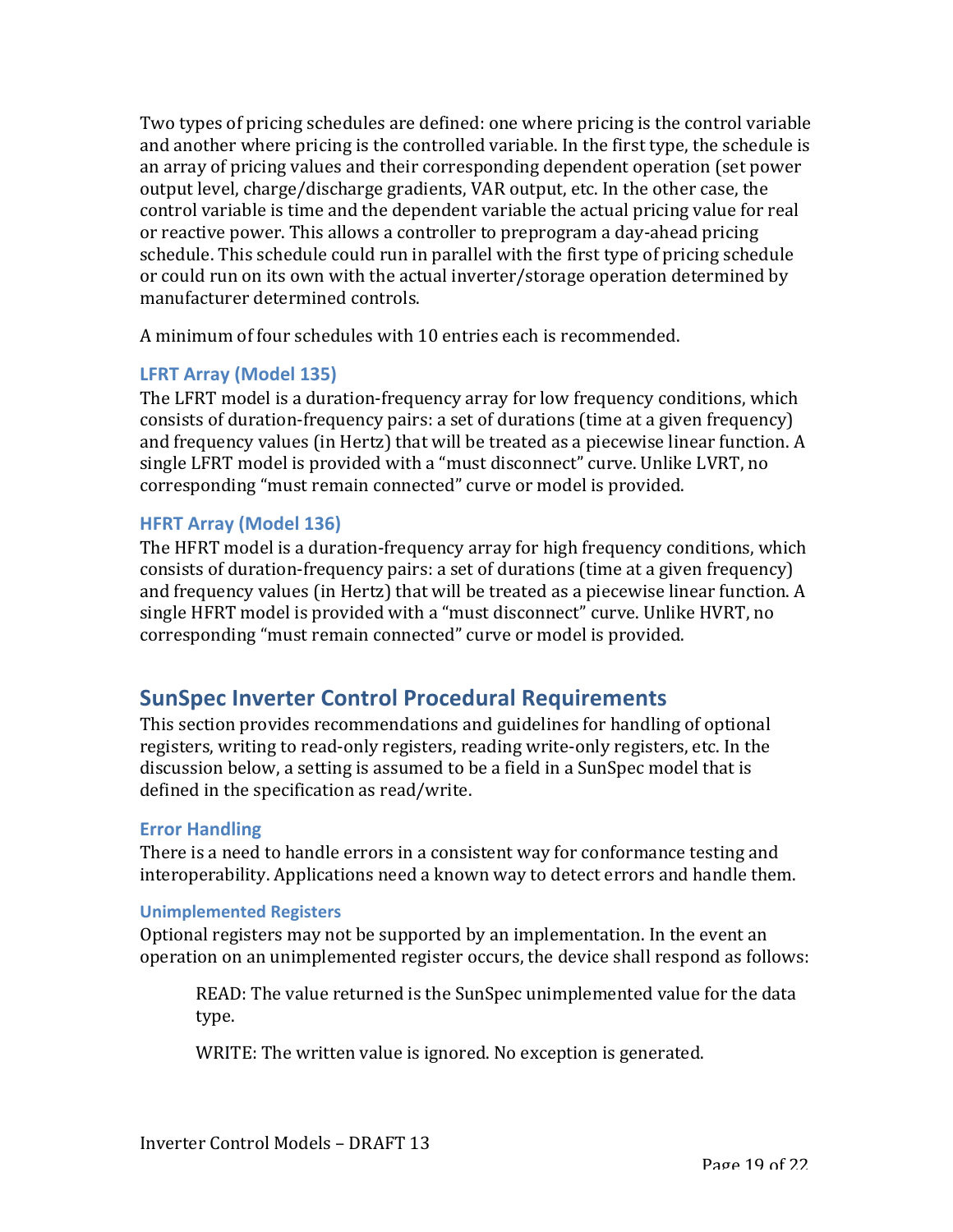Two types of pricing schedules are defined: one where pricing is the control variable and another where pricing is the controlled variable. In the first type, the schedule is an array of pricing values and their corresponding dependent operation (set power output level, charge/discharge gradients, VAR output, etc. In the other case, the control variable is time and the dependent variable the actual pricing value for real or reactive power. This allows a controller to preprogram a day-ahead pricing schedule. This schedule could run in parallel with the first type of pricing schedule or could run on its own with the actual inverter/storage operation determined by manufacturer determined controls.

A minimum of four schedules with 10 entries each is recommended.

### **LFRT Array (Model 135)**

The LFRT model is a duration-frequency array for low frequency conditions, which consists of duration-frequency pairs: a set of durations (time at a given frequency) and frequency values (in Hertz) that will be treated as a piecewise linear function. A single LFRT model is provided with a "must disconnect" curve. Unlike LVRT, no corresponding "must remain connected" curve or model is provided.

### **HFRT Array (Model 136)**

The HFRT model is a duration-frequency array for high frequency conditions, which consists of duration-frequency pairs: a set of durations (time at a given frequency) and frequency values (in Hertz) that will be treated as a piecewise linear function. A single HFRT model is provided with a "must disconnect" curve. Unlike HVRT, no corresponding "must remain connected" curve or model is provided.

# **SunSpec Inverter Control Procedural Requirements**

This section provides recommendations and guidelines for handling of optional registers, writing to read-only registers, reading write-only registers, etc. In the discussion below, a setting is assumed to be a field in a SunSpec model that is defined in the specification as read/write.

### **Error Handling**

There is a need to handle errors in a consistent way for conformance testing and interoperability. Applications need a known way to detect errors and handle them.

#### **Unimplemented Registers**

Optional registers may not be supported by an implementation. In the event an operation on an unimplemented register occurs, the device shall respond as follows:

READ: The value returned is the SunSpec unimplemented value for the data type.

WRITE: The written value is ignored. No exception is generated.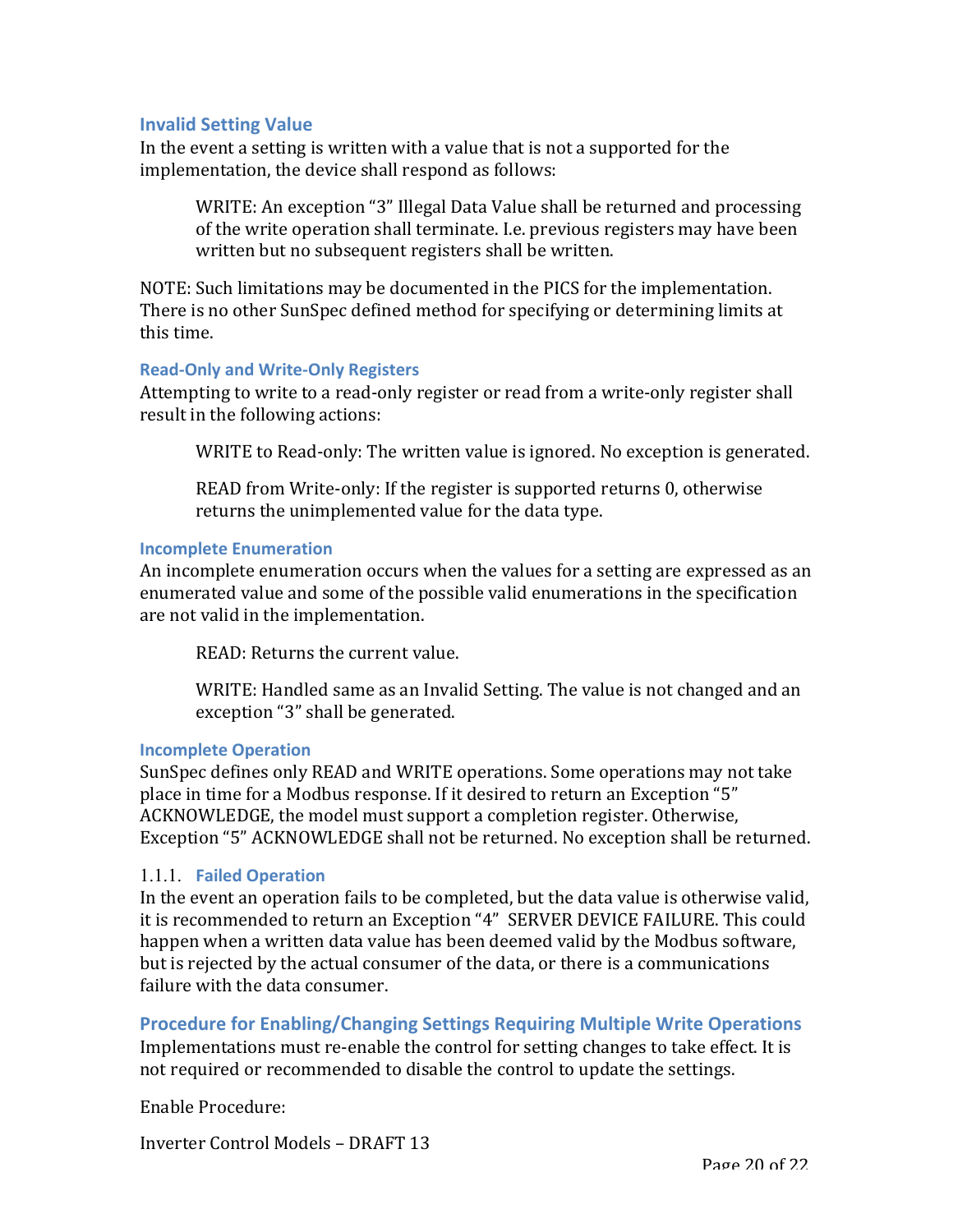#### **Invalid Setting Value**

In the event a setting is written with a value that is not a supported for the implementation, the device shall respond as follows:

WRITE: An exception "3" Illegal Data Value shall be returned and processing of the write operation shall terminate. I.e. previous registers may have been written but no subsequent registers shall be written.

NOTE: Such limitations may be documented in the PICS for the implementation. There is no other SunSpec defined method for specifying or determining limits at this time.

#### **Read-Only and Write-Only Registers**

Attempting to write to a read-only register or read from a write-only register shall result in the following actions:

WRITE to Read-only: The written value is ignored. No exception is generated.

READ from Write-only: If the register is supported returns 0, otherwise returns the unimplemented value for the data type.

#### **Incomplete Enumeration**

An incomplete enumeration occurs when the values for a setting are expressed as an enumerated value and some of the possible valid enumerations in the specification are not valid in the implementation.

READ: Returns the current value.

WRITE: Handled same as an Invalid Setting. The value is not changed and an exception "3" shall be generated.

#### **Incomplete Operation**

SunSpec defines only READ and WRITE operations. Some operations may not take place in time for a Modbus response. If it desired to return an Exception "5" ACKNOWLEDGE, the model must support a completion register. Otherwise, Exception "5" ACKNOWLEDGE shall not be returned. No exception shall be returned.

#### 1.1.1. **Failed Operation**

In the event an operation fails to be completed, but the data value is otherwise valid, it is recommended to return an Exception "4" SERVER DEVICE FAILURE. This could happen when a written data value has been deemed valid by the Modbus software, but is rejected by the actual consumer of the data, or there is a communications failure with the data consumer.

**Procedure for Enabling/Changing Settings Requiring Multiple Write Operations** Implementations must re-enable the control for setting changes to take effect. It is not required or recommended to disable the control to update the settings.

Enable Procedure:

Inverter Control Models – DRAFT 13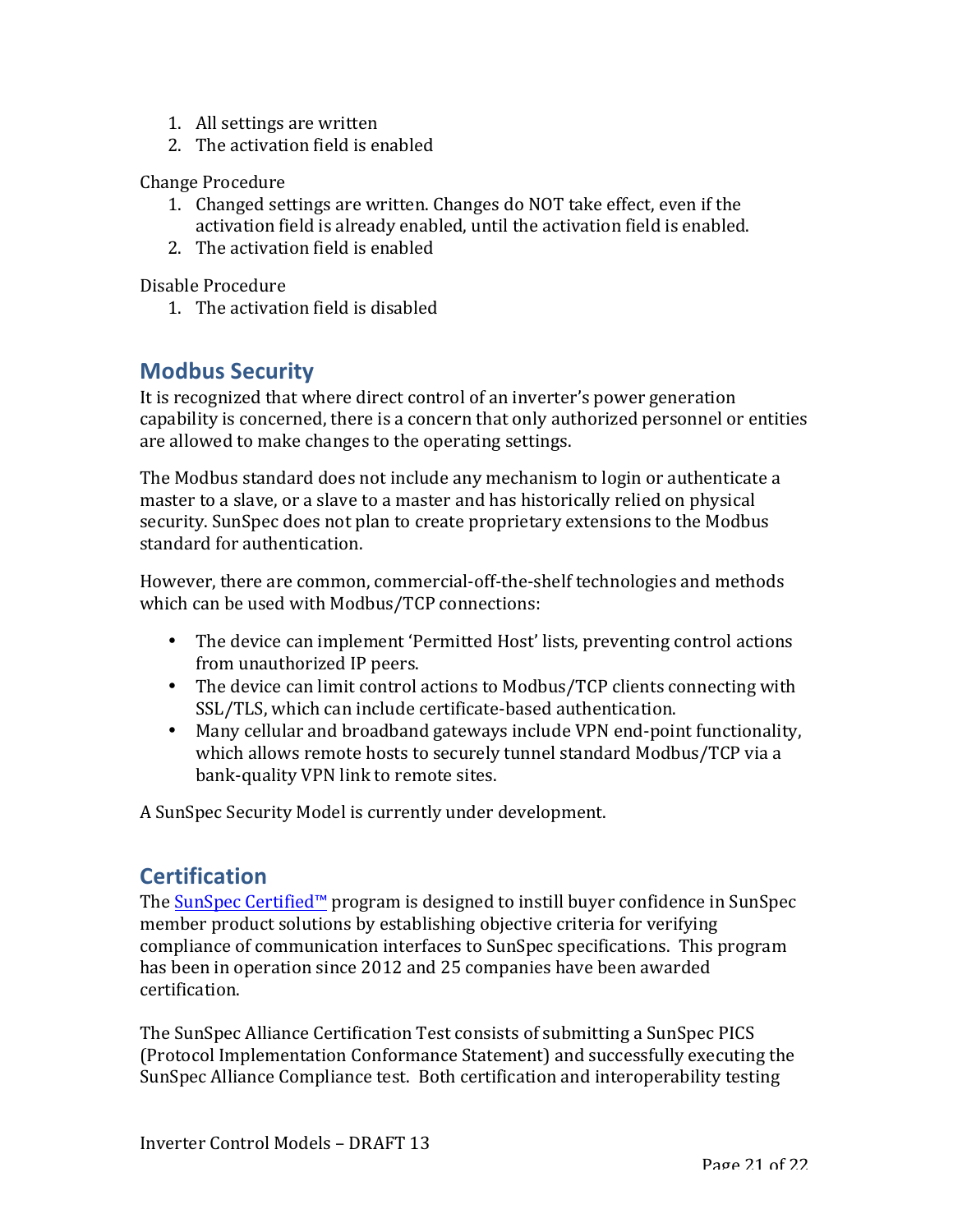- 1. All settings are written
- 2. The activation field is enabled

#### Change Procedure

- 1. Changed settings are written. Changes do NOT take effect, even if the activation field is already enabled, until the activation field is enabled.
- 2. The activation field is enabled

Disable Procedure

1. The activation field is disabled

# **Modbus Security**

It is recognized that where direct control of an inverter's power generation capability is concerned, there is a concern that only authorized personnel or entities are allowed to make changes to the operating settings.

The Modbus standard does not include any mechanism to login or authenticate a master to a slave, or a slave to a master and has historically relied on physical security. SunSpec does not plan to create proprietary extensions to the Modbus standard for authentication.

However, there are common, commercial-off-the-shelf technologies and methods which can be used with Modbus/TCP connections:

- The device can implement 'Permitted Host' lists, preventing control actions from unauthorized IP peers.
- The device can limit control actions to Modbus/TCP clients connecting with SSL/TLS, which can include certificate-based authentication.
- Many cellular and broadband gateways include VPN end-point functionality, which allows remote hosts to securely tunnel standard Modbus/TCP via a bank-quality VPN link to remote sites.

A SunSpec Security Model is currently under development.

# **Certification**

The SunSpec Certified™ program is designed to instill buyer confidence in SunSpec member product solutions by establishing objective criteria for verifying compliance of communication interfaces to SunSpec specifications. This program has been in operation since 2012 and 25 companies have been awarded certification.

The SunSpec Alliance Certification Test consists of submitting a SunSpec PICS (Protocol Implementation Conformance Statement) and successfully executing the SunSpec Alliance Compliance test. Both certification and interoperability testing